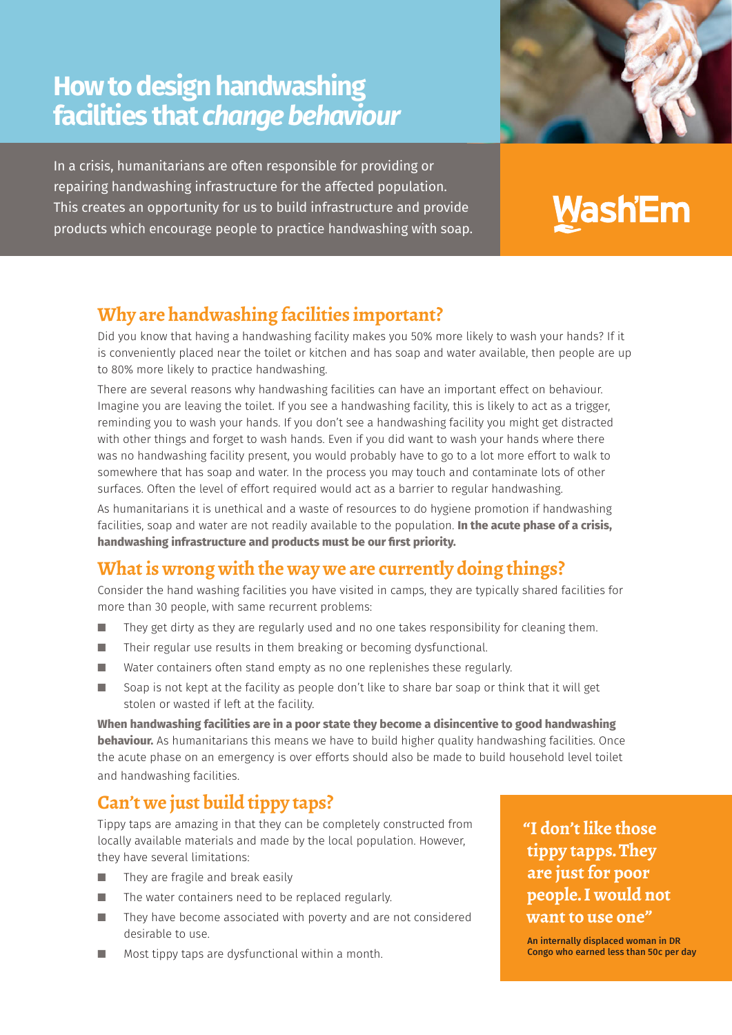## **How to design handwashing facilities that** *change behaviour*

In a crisis, humanitarians are often responsible for providing or repairing handwashing infrastructure for the affected population. This creates an opportunity for us to build infrastructure and provide products which encourage people to practice handwashing with soap.

# Wash'Em

### **Why are handwashing facilities important?**

Did you know that having a handwashing facility makes you 50% more likely to wash your hands? If it is conveniently placed near the toilet or kitchen and has soap and water available, then people are up to 80% more likely to practice handwashing.

There are several reasons why handwashing facilities can have an important effect on behaviour. Imagine you are leaving the toilet. If you see a handwashing facility, this is likely to act as a trigger, reminding you to wash your hands. If you don't see a handwashing facility you might get distracted with other things and forget to wash hands. Even if you did want to wash your hands where there was no handwashing facility present, you would probably have to go to a lot more effort to walk to somewhere that has soap and water. In the process you may touch and contaminate lots of other surfaces. Often the level of effort required would act as a barrier to regular handwashing.

As humanitarians it is unethical and a waste of resources to do hygiene promotion if handwashing facilities, soap and water are not readily available to the population. **In the acute phase of a crisis, handwashing infrastructure and products must be our first priority.** 

### **What is wrong with the way we are currently doing things?**

Consider the hand washing facilities you have visited in camps, they are typically shared facilities for more than 30 people, with same recurrent problems:

- $\blacksquare$  They get dirty as they are regularly used and no one takes responsibility for cleaning them.
- $\blacksquare$  Their regular use results in them breaking or becoming dysfunctional.
- $\blacksquare$  Water containers often stand empty as no one replenishes these regularly.
- Soap is not kept at the facility as people don't like to share bar soap or think that it will get stolen or wasted if left at the facility.

**When handwashing facilities are in a poor state they become a disincentive to good handwashing behaviour.** As humanitarians this means we have to build higher quality handwashing facilities. Once the acute phase on an emergency is over efforts should also be made to build household level toilet and handwashing facilities.

### **Can't we just build tippy taps?**

Tippy taps are amazing in that they can be completely constructed from locally available materials and made by the local population. However, they have several limitations:

- $\blacksquare$  They are fragile and break easily
- $\blacksquare$  The water containers need to be replaced regularly.
- $\blacksquare$  They have become associated with poverty and are not considered desirable to use.
- $\blacksquare$  Most tippy taps are dysfunctional within a month.

**"I don't like those tippy tapps. They are just for poor people. I would not want to use one"** 

An internally displaced woman in DR Congo who earned less than 50c per day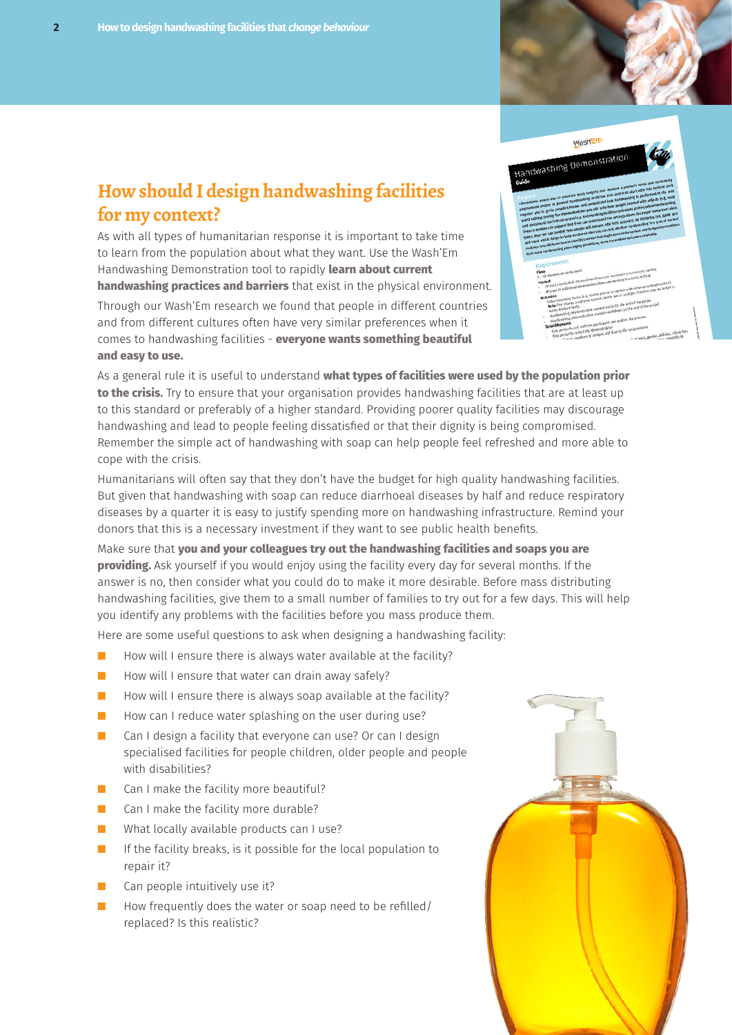#### **How should I design handwashing facilities for my context?**

As with all types of humanitarian response it is important to take time to learn from the population about what they want. Use the Wash'Em Handwashing Demonstration tool to rapidly **learn about current handwashing practices and barriers** that exist in the physical environment.

Through our Wash'Em research we found that people in different countries and from different cultures often have very similar preferences when it comes to handwashing facilities - **everyone wants something beautiful and easy to use.** 

As a general rule it is useful to understand **what types of facilities were used by the population prior to the crisis.** Try to ensure that your organisation provides handwashing facilities that are at least up to this standard or preferably of a higher standard. Providing poorer quality facilities may discourage handwashing and lead to people feeling dissatisfied or that their dignity is being compromised. Remember the simple act of handwashing with soap can help people feel refreshed and more able to cope with the crisis.

Humanitarians will often say that they don't have the budget for high quality handwashing facilities. But given that handwashing with soap can reduce diarrhoeal diseases by half and reduce respiratory diseases by a quarter it is easy to justify spending more on handwashing infrastructure. Remind your donors that this is a necessary investment if they want to see public health benefits.

Make sure that **you and your colleagues try out the handwashing facilities and soaps you are providing.** Ask yourself if you would enjoy using the facility every day for several months. If the answer is no, then consider what you could do to make it more desirable. Before mass distributing handwashing facilities, give them to a small number of families to try out for a few days. This will help you identify any problems with the facilities before you mass produce them.

Here are some useful questions to ask when designing a handwashing facility:

- How will I ensure there is always water available at the facility?
- How will I ensure that water can drain away safely?
- $\blacksquare$  How will I ensure there is always soap available at the facility?
- $\blacksquare$  How can I reduce water splashing on the user during use?
- Can I design a facility that everyone can use? Or can I design specialised facilities for people children, older people and people with disabilities?
- Can I make the facility more beautiful?
- Can I make the facility more durable?
- What locally available products can I use?
- If the facility breaks, is it possible for the local population to repair it?
- Can people intuitively use it?
- How frequently does the water or soap need to be refilled/ replaced? Is this realistic?



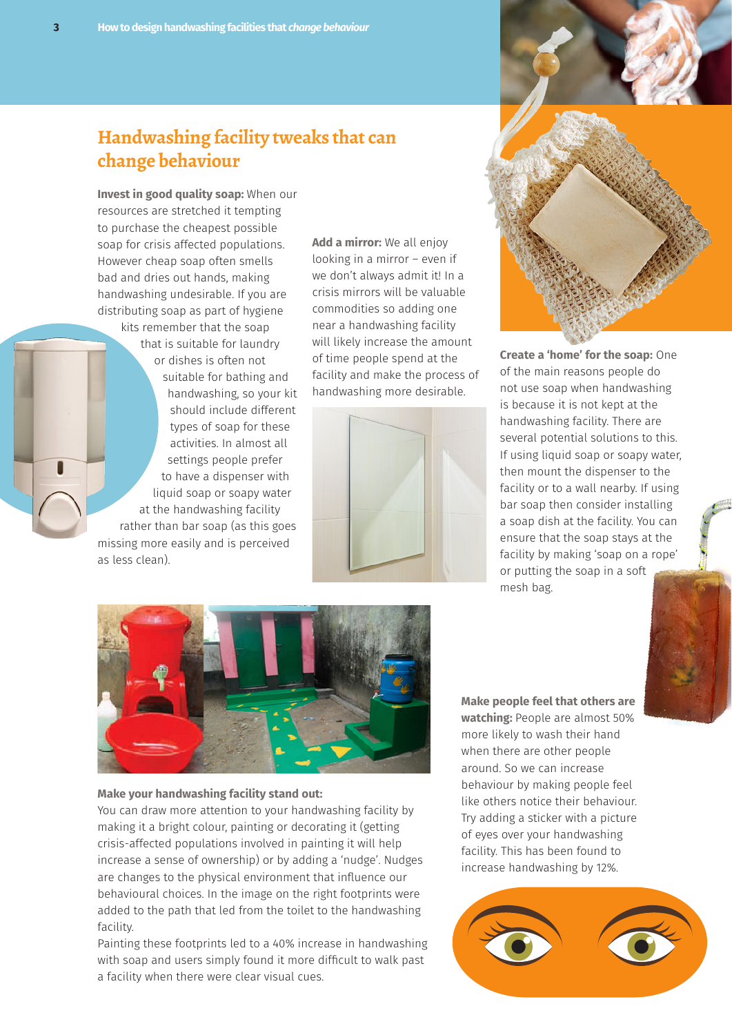#### **Handwashing facility tweaks that can change behaviour**

**Invest in good quality soap:** When our resources are stretched it tempting to purchase the cheapest possible soap for crisis affected populations. However cheap soap often smells bad and dries out hands, making handwashing undesirable. If you are distributing soap as part of hygiene

kits remember that the soap that is suitable for laundry or dishes is often not suitable for bathing and handwashing, so your kit should include different types of soap for these activities. In almost all settings people prefer to have a dispenser with liquid soap or soapy water at the handwashing facility rather than bar soap (as this goes missing more easily and is perceived as less clean).

**Add a mirror:** We all enjoy looking in a mirror – even if we don't always admit it! In a crisis mirrors will be valuable commodities so adding one near a handwashing facility will likely increase the amount of time people spend at the facility and make the process of handwashing more desirable.





**Create a 'home' for the soap:** One of the main reasons people do not use soap when handwashing is because it is not kept at the handwashing facility. There are several potential solutions to this. If using liquid soap or soapy water, then mount the dispenser to the facility or to a wall nearby. If using bar soap then consider installing a soap dish at the facility. You can ensure that the soap stays at the facility by making 'soap on a rope' or putting the soap in a soft mesh bag.



#### **Make your handwashing facility stand out:**

You can draw more attention to your handwashing facility by making it a bright colour, painting or decorating it (getting crisis-affected populations involved in painting it will help increase a sense of ownership) or by adding a 'nudge'. Nudges are changes to the physical environment that influence our behavioural choices. In the image on the right footprints were added to the path that led from the toilet to the handwashing facility.

Painting these footprints led to a 40% increase in handwashing with soap and users simply found it more difficult to walk past a facility when there were clear visual cues.

**Make people feel that others are watching:** People are almost 50% more likely to wash their hand when there are other people around. So we can increase behaviour by making people feel like others notice their behaviour. Try adding a sticker with a picture of eyes over your handwashing facility. This has been found to increase handwashing by 12%.

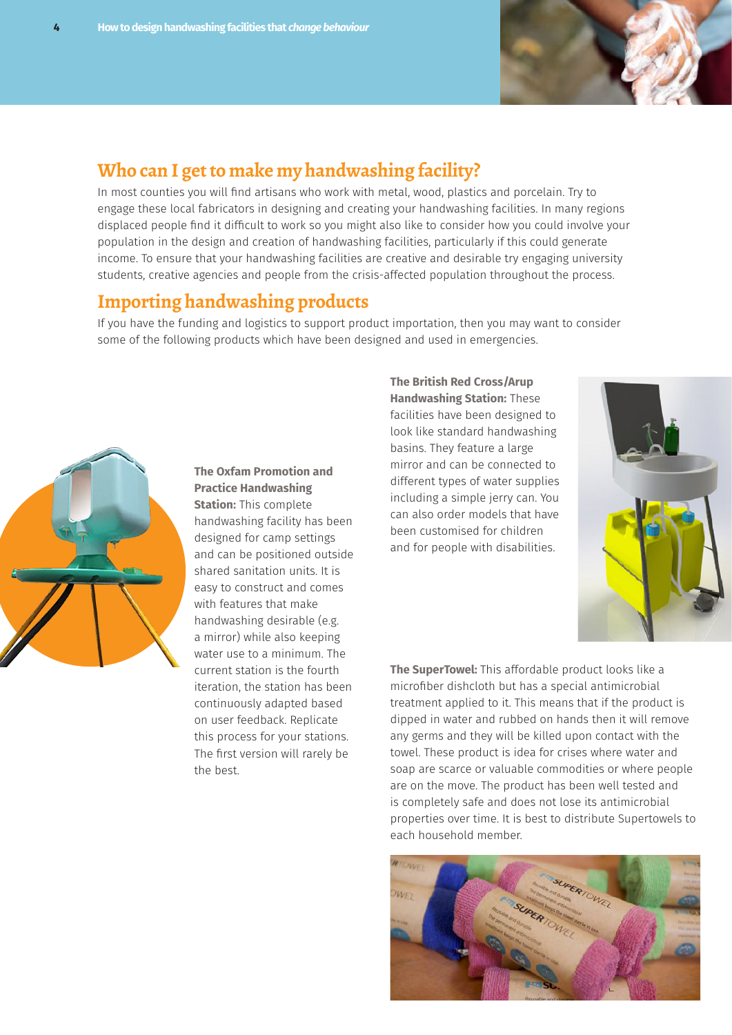

#### **Who can I get to make my handwashing facility?**

In most counties you will find artisans who work with metal, wood, plastics and porcelain. Try to engage these local fabricators in designing and creating your handwashing facilities. In many regions displaced people find it difficult to work so you might also like to consider how you could involve your population in the design and creation of handwashing facilities, particularly if this could generate income. To ensure that your handwashing facilities are creative and desirable try engaging university students, creative agencies and people from the crisis-affected population throughout the process.

#### **Importing handwashing products**

If you have the funding and logistics to support product importation, then you may want to consider some of the following products which have been designed and used in emergencies.



**The Oxfam Promotion and Practice Handwashing Station:** This complete handwashing facility has been designed for camp settings and can be positioned outside shared sanitation units. It is easy to construct and comes with features that make handwashing desirable (e.g. a mirror) while also keeping water use to a minimum. The current station is the fourth iteration, the station has been continuously adapted based on user feedback. Replicate this process for your stations. The first version will rarely be the best.

**The British Red Cross/Arup Handwashing Station:** These facilities have been designed to look like standard handwashing basins. They feature a large mirror and can be connected to different types of water supplies including a simple jerry can. You can also order models that have been customised for children and for people with disabilities.



**The SuperTowel:** This affordable product looks like a microfiber dishcloth but has a special antimicrobial treatment applied to it. This means that if the product is dipped in water and rubbed on hands then it will remove any germs and they will be killed upon contact with the towel. These product is idea for crises where water and soap are scarce or valuable commodities or where people are on the move. The product has been well tested and is completely safe and does not lose its antimicrobial properties over time. It is best to distribute Supertowels to each household member.